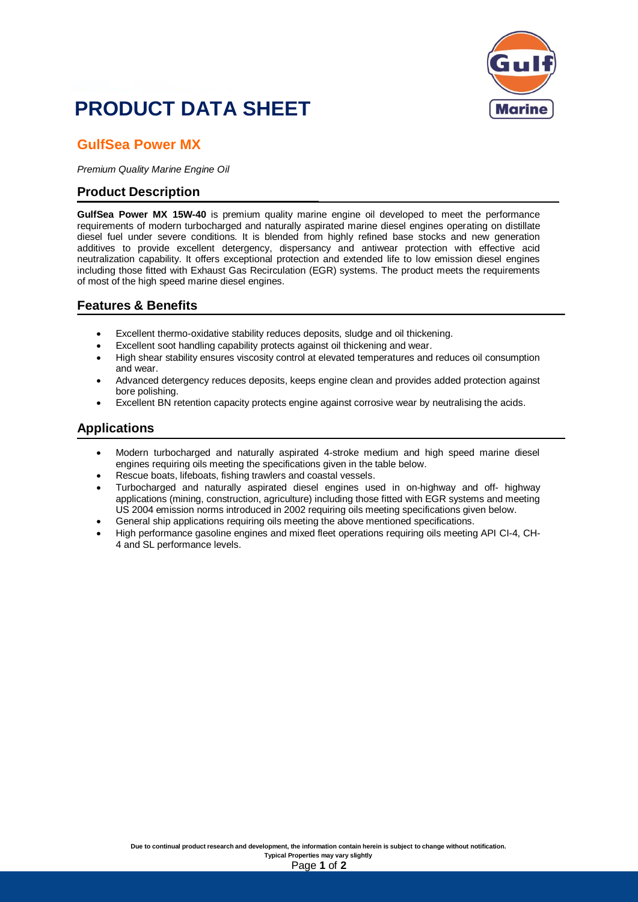

## **PRODUCT DATA SHEET**

### **GulfSea Power MX**

*Premium Quality Marine Engine Oil*

#### **Product Description**

**GulfSea Power MX 15W-40** is premium quality marine engine oil developed to meet the performance requirements of modern turbocharged and naturally aspirated marine diesel engines operating on distillate diesel fuel under severe conditions. It is blended from highly refined base stocks and new generation additives to provide excellent detergency, dispersancy and antiwear protection with effective acid neutralization capability. It offers exceptional protection and extended life to low emission diesel engines including those fitted with Exhaust Gas Recirculation (EGR) systems. The product meets the requirements of most of the high speed marine diesel engines.

#### **Features & Benefits**

- Excellent thermo-oxidative stability reduces deposits, sludge and oil thickening.
- Excellent soot handling capability protects against oil thickening and wear.
- High shear stability ensures viscosity control at elevated temperatures and reduces oil consumption and wear.
- Advanced detergency reduces deposits, keeps engine clean and provides added protection against bore polishing.
- Excellent BN retention capacity protects engine against corrosive wear by neutralising the acids.

#### **Applications**

- Modern turbocharged and naturally aspirated 4-stroke medium and high speed marine diesel engines requiring oils meeting the specifications given in the table below.
- Rescue boats, lifeboats, fishing trawlers and coastal vessels.
- Turbocharged and naturally aspirated diesel engines used in on-highway and off- highway applications (mining, construction, agriculture) including those fitted with EGR systems and meeting US 2004 emission norms introduced in 2002 requiring oils meeting specifications given below.
- General ship applications requiring oils meeting the above mentioned specifications.
- High performance gasoline engines and mixed fleet operations requiring oils meeting API CI-4, CH-4 and SL performance levels.